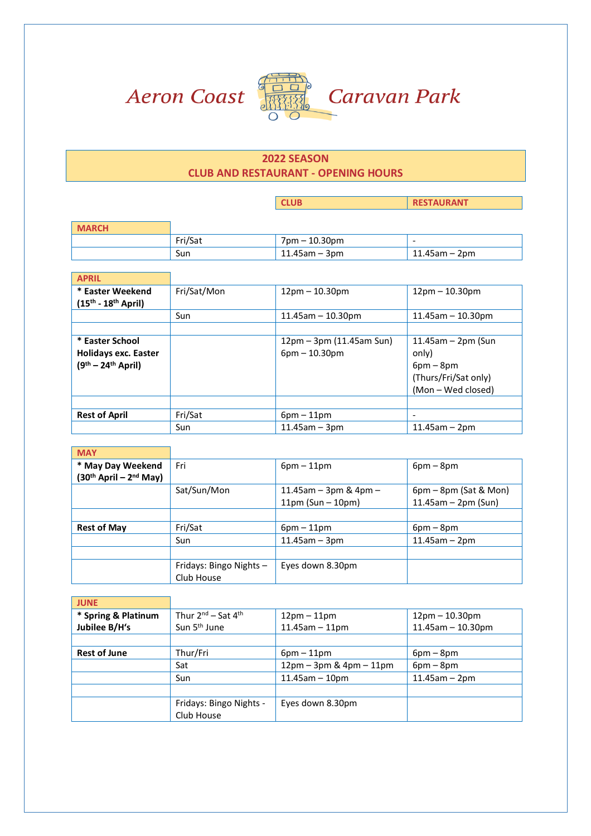

F



Caravan Park

## **2022 SEASON CLUB AND RESTAURANT - OPENING HOURS**

**CLUB RESTAURANT** 

| <b>MARCH</b> |         |                                 |                  |
|--------------|---------|---------------------------------|------------------|
|              | Fri/Sat | $7 \text{pm} - 10.30 \text{pm}$ |                  |
|              | Sun     | $11.45$ am – 3pm                | $11.45$ am – 2pm |

| <b>APRIL</b>                                                           |             |                                                               |                                                                                             |
|------------------------------------------------------------------------|-------------|---------------------------------------------------------------|---------------------------------------------------------------------------------------------|
| * Easter Weekend<br>$(15^{th} - 18^{th}$ April)                        | Fri/Sat/Mon | $12pm - 10.30pm$                                              | $12pm - 10.30pm$                                                                            |
|                                                                        | Sun         | $11.45$ am $-10.30$ pm                                        | $11.45$ am - $10.30$ pm                                                                     |
|                                                                        |             |                                                               |                                                                                             |
| * Easter School<br><b>Holidays exc. Easter</b><br>$(9th - 24th$ April) |             | $12 \text{pm} - 3 \text{pm}$ (11.45am Sun)<br>$6pm - 10.30pm$ | $11.45$ am – 2pm (Sun<br>only)<br>$6pm - 8pm$<br>(Thurs/Fri/Sat only)<br>(Mon - Wed closed) |
|                                                                        |             |                                                               |                                                                                             |
| <b>Rest of April</b>                                                   | Fri/Sat     | $6pm-11pm$                                                    |                                                                                             |
|                                                                        | Sun         | $11.45$ am – 3pm                                              | $11.45$ am - 2pm                                                                            |

| <b>MAY</b>                 |                         |                           |                         |
|----------------------------|-------------------------|---------------------------|-------------------------|
| * May Day Weekend          | Fri                     | $6pm - 11pm$              | $6pm - 8pm$             |
| $(30th$ April – $2nd$ May) |                         |                           |                         |
|                            | Sat/Sun/Mon             | 11.45am $-$ 3pm & 4pm $-$ | $6pm - 8pm$ (Sat & Mon) |
|                            |                         | $11pm$ (Sun – 10pm)       | $11.45$ am – 2pm (Sun)  |
|                            |                         |                           |                         |
| <b>Rest of May</b>         | Fri/Sat                 | $6pm - 11pm$              | $6pm - 8pm$             |
|                            | Sun                     | $11.45$ am $-3$ pm        | $11.45$ am – 2pm        |
|                            |                         |                           |                         |
|                            | Fridays: Bingo Nights - | Eyes down 8.30pm          |                         |
|                            | Club House              |                           |                         |

| <b>JUNE</b>         |                              |                                                           |                         |
|---------------------|------------------------------|-----------------------------------------------------------|-------------------------|
| * Spring & Platinum | Thur $2^{nd}$ – Sat $4^{th}$ | $12pm - 11pm$                                             | $12pm - 10.30pm$        |
| Jubilee B/H's       | Sun 5 <sup>th</sup> June     | $11.45$ am $-11$ pm                                       | $11.45$ am - $10.30$ pm |
|                     |                              |                                                           |                         |
| <b>Rest of June</b> | Thur/Fri                     | $6pm - 11pm$                                              | $6pm-8pm$               |
|                     | Sat                          | $12 \text{pm} - 3 \text{pm} - 4 \text{pm} - 11 \text{pm}$ | $6pm - 8pm$             |
|                     | Sun                          | $11.45$ am - 10pm                                         | $11.45$ am - $2$ pm     |
|                     |                              |                                                           |                         |
|                     | Fridays: Bingo Nights -      | Eyes down 8.30pm                                          |                         |
|                     | Club House                   |                                                           |                         |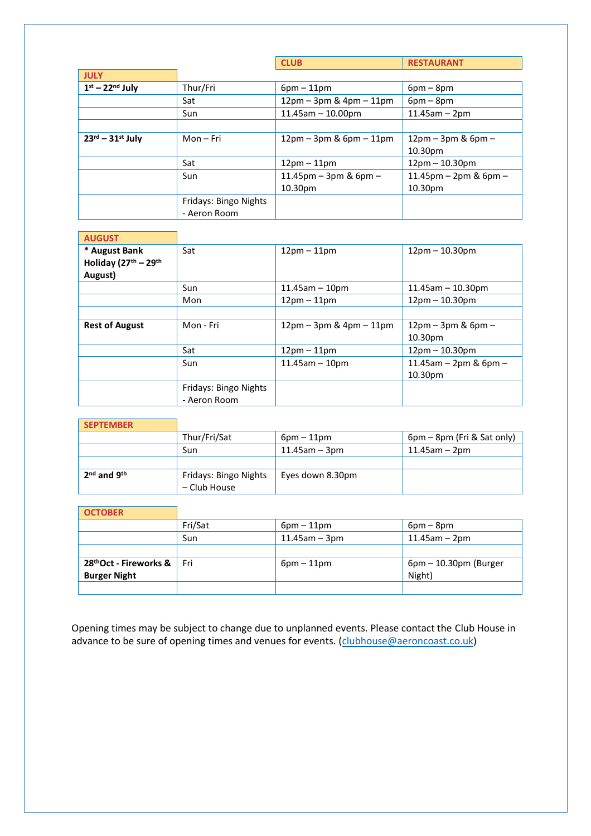|                                        |                       | <b>CLUB</b>                                                 | <b>RESTAURANT</b>                    |
|----------------------------------------|-----------------------|-------------------------------------------------------------|--------------------------------------|
| <b>JULY</b>                            |                       |                                                             |                                      |
| $1st - 22nd$ July                      | Thur/Fri              | $6pm - 11pm$                                                | $6pm - 8pm$                          |
|                                        | Sat                   | $12 \text{pm} - 3 \text{pm} - 4 \text{pm} - 11 \text{pm}$   | $6pm - 8pm$                          |
|                                        | Sun                   | $11.45$ am $-10.00$ pm                                      | $11.45am - 2pm$                      |
|                                        |                       |                                                             |                                      |
| $23^{\text{rd}} - 31^{\text{st}}$ July | Mon – Fri             | $12 \text{pm} - 3 \text{pm}$ & $6 \text{pm} - 11 \text{pm}$ | $12 \text{pm} - 3 \text{pm}$ & 6pm – |
|                                        |                       |                                                             | 10.30pm                              |
|                                        | Sat                   | $12pm - 11pm$                                               | $12pm - 10.30pm$                     |
|                                        | Sun                   | 11.45pm $-$ 3pm & 6pm $-$                                   | 11.45pm - 2pm & 6pm -                |
|                                        |                       | 10.30pm                                                     | 10.30pm                              |
|                                        | Fridays: Bingo Nights |                                                             |                                      |
|                                        | - Aeron Room          |                                                             |                                      |

| <b>AUGUST</b>         |                       |                                                           |                                        |
|-----------------------|-----------------------|-----------------------------------------------------------|----------------------------------------|
| * August Bank         | Sat                   | $12pm - 11pm$                                             | $12pm - 10.30pm$                       |
| Holiday (27th - 29th  |                       |                                                           |                                        |
| August)               |                       |                                                           |                                        |
|                       | Sun                   | $11.45$ am - 10pm                                         | $11.45$ am $-10.30$ pm                 |
|                       | Mon                   | $12pm-11pm$                                               | $12pm - 10.30pm$                       |
|                       |                       |                                                           |                                        |
| <b>Rest of August</b> | Mon - Fri             | $12 \text{pm} - 3 \text{pm} - 4 \text{pm} - 11 \text{pm}$ | $12 \text{pm} - 3 \text{pm}$ & 6pm $-$ |
|                       |                       |                                                           | 10.30pm                                |
|                       | Sat                   | $12pm - 11pm$                                             | $12pm - 10.30pm$                       |
|                       | Sun                   | $11.45$ am $-10$ pm                                       | 11.45am $-$ 2pm & 6pm $-$              |
|                       |                       |                                                           | 10.30pm                                |
|                       | Fridays: Bingo Nights |                                                           |                                        |
|                       | - Aeron Room          |                                                           |                                        |

| <b>SEPTEMBER</b> |                                       |                     |                            |
|------------------|---------------------------------------|---------------------|----------------------------|
|                  | Thur/Fri/Sat                          | $6$ pm – 11pm       | 6pm – 8pm (Fri & Sat only) |
|                  | Sun                                   | $11.45$ am – $3$ pm | $11.45$ am – 2pm           |
|                  |                                       |                     |                            |
| $2nd$ and $9th$  | Fridays: Bingo Nights<br>- Club House | Eyes down 8.30pm    |                            |

| <b>OCTOBER</b>                                            |         |                  |                                    |
|-----------------------------------------------------------|---------|------------------|------------------------------------|
|                                                           | Fri/Sat | $6pm - 11pm$     | $6pm-8pm$                          |
|                                                           | Sun     | $11.45$ am - 3pm | $11.45$ am – 2pm                   |
|                                                           |         |                  |                                    |
| 28 <sup>th</sup> Oct - Fireworks &<br><b>Burger Night</b> | l Fri   | $6pm-11pm$       | $6$ pm – 10.30pm (Burger<br>Night) |
|                                                           |         |                  |                                    |

Opening times may be subject to change due to unplanned events. Please contact the Club House in advance to be sure of opening times and venues for events. [\(clubhouse@aeroncoast.co.uk\)](mailto:clubhouse@aeroncoast.co.uk)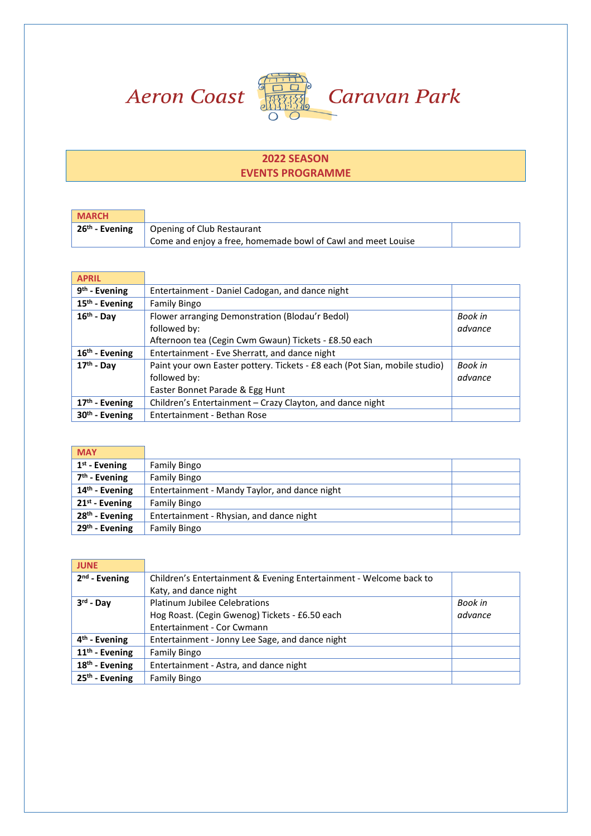



## **2022 SEASON EVENTS PROGRAMME**

| <b>MARCH</b>               |                                                              |  |
|----------------------------|--------------------------------------------------------------|--|
| 26 <sup>th</sup> - Evening | Opening of Club Restaurant                                   |  |
|                            | Come and enjoy a free, homemade bowl of Cawl and meet Louise |  |

| <b>APRIL</b>               |                                                                            |         |
|----------------------------|----------------------------------------------------------------------------|---------|
| $9th$ - Evening            | Entertainment - Daniel Cadogan, and dance night                            |         |
| 15 <sup>th</sup> - Evening | <b>Family Bingo</b>                                                        |         |
| $16th$ - Dav               | Flower arranging Demonstration (Blodau'r Bedol)                            | Book in |
|                            | followed by:                                                               | advance |
|                            | Afternoon tea (Cegin Cwm Gwaun) Tickets - £8.50 each                       |         |
| $16th$ - Evening           | Entertainment - Eve Sherratt, and dance night                              |         |
| $17th$ - Day               | Paint your own Easter pottery. Tickets - £8 each (Pot Sian, mobile studio) | Book in |
|                            | followed by:                                                               | advance |
|                            | Easter Bonnet Parade & Egg Hunt                                            |         |
| $17th$ - Evening           | Children's Entertainment – Crazy Clayton, and dance night                  |         |
| 30 <sup>th</sup> - Evening | Entertainment - Bethan Rose                                                |         |

| <b>MAY</b>                 |                                               |  |
|----------------------------|-----------------------------------------------|--|
| $1st$ - Evening            | <b>Family Bingo</b>                           |  |
| $7th$ - Evening            | <b>Family Bingo</b>                           |  |
| 14 <sup>th</sup> - Evening | Entertainment - Mandy Taylor, and dance night |  |
| $21st$ - Evening           | Family Bingo                                  |  |
| $28th$ - Evening           | Entertainment - Rhysian, and dance night      |  |
| $29th$ - Evening           | <b>Family Bingo</b>                           |  |

| <b>JUNE</b>               |                                                                    |         |
|---------------------------|--------------------------------------------------------------------|---------|
| $2nd$ - Evening           | Children's Entertainment & Evening Entertainment - Welcome back to |         |
|                           | Katy, and dance night                                              |         |
| 3 <sup>rd</sup> - Day     | Platinum Jubilee Celebrations                                      | Book in |
|                           | Hog Roast. (Cegin Gwenog) Tickets - £6.50 each                     | advance |
|                           | Entertainment - Cor Cwmann                                         |         |
| 4 <sup>th</sup> - Evening | Entertainment - Jonny Lee Sage, and dance night                    |         |
| $11th$ - Evening          | <b>Family Bingo</b>                                                |         |
| $18th$ - Evening          | Entertainment - Astra, and dance night                             |         |
| $25th$ - Evening          | Family Bingo                                                       |         |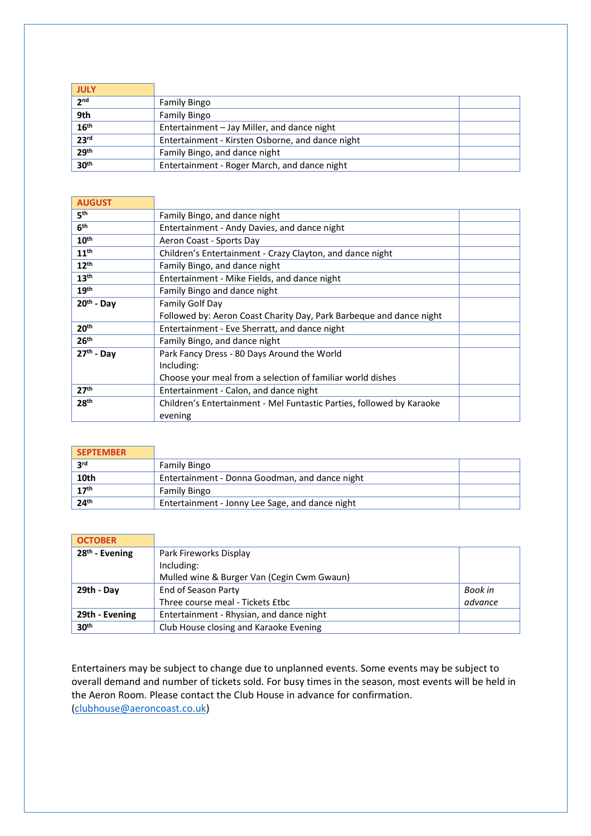| <b>JULY</b>      |                                                  |
|------------------|--------------------------------------------------|
| 2 <sub>nd</sub>  | <b>Family Bingo</b>                              |
| 9th              | <b>Family Bingo</b>                              |
| 16 <sup>th</sup> | Entertainment - Jay Miller, and dance night      |
| 23 <sup>rd</sup> | Entertainment - Kirsten Osborne, and dance night |
| 29 <sup>th</sup> | Family Bingo, and dance night                    |
| 30 <sup>th</sup> | Entertainment - Roger March, and dance night     |

| Family Bingo, and dance night                                         |  |  |
|-----------------------------------------------------------------------|--|--|
| Entertainment - Andy Davies, and dance night                          |  |  |
| Aeron Coast - Sports Day                                              |  |  |
| Children's Entertainment - Crazy Clayton, and dance night             |  |  |
| Family Bingo, and dance night                                         |  |  |
| Entertainment - Mike Fields, and dance night                          |  |  |
| Family Bingo and dance night                                          |  |  |
| Family Golf Day                                                       |  |  |
| Followed by: Aeron Coast Charity Day, Park Barbegue and dance night   |  |  |
| Entertainment - Eve Sherratt, and dance night                         |  |  |
| Family Bingo, and dance night                                         |  |  |
| Park Fancy Dress - 80 Days Around the World                           |  |  |
| Including:                                                            |  |  |
| Choose your meal from a selection of familiar world dishes            |  |  |
| Entertainment - Calon, and dance night                                |  |  |
| Children's Entertainment - Mel Funtastic Parties, followed by Karaoke |  |  |
| evening                                                               |  |  |
|                                                                       |  |  |

| <b>SEPTEMBER</b> |                                                 |  |
|------------------|-------------------------------------------------|--|
| <b>2rd</b>       | <b>Family Bingo</b>                             |  |
| 10th             | Entertainment - Donna Goodman, and dance night  |  |
| 17 <sup>th</sup> | <b>Family Bingo</b>                             |  |
| 24 <sup>th</sup> | Entertainment - Jonny Lee Sage, and dance night |  |

| <b>OCTOBER</b>   |                                            |         |  |
|------------------|--------------------------------------------|---------|--|
| $28th$ - Evening | Park Fireworks Display                     |         |  |
|                  | Including:                                 |         |  |
|                  | Mulled wine & Burger Van (Cegin Cwm Gwaun) |         |  |
| 29th - Day       | End of Season Party                        | Book in |  |
|                  | Three course meal - Tickets £tbc           | advance |  |
| 29th - Evening   | Entertainment - Rhysian, and dance night   |         |  |
| 30 <sup>th</sup> | Club House closing and Karaoke Evening     |         |  |

Entertainers may be subject to change due to unplanned events. Some events may be subject to overall demand and number of tickets sold. For busy times in the season, most events will be held in the Aeron Room. Please contact the Club House in advance for confirmation. [\(clubhouse@aeroncoast.co.uk\)](mailto:clubhouse@aeroncoast.co.uk)